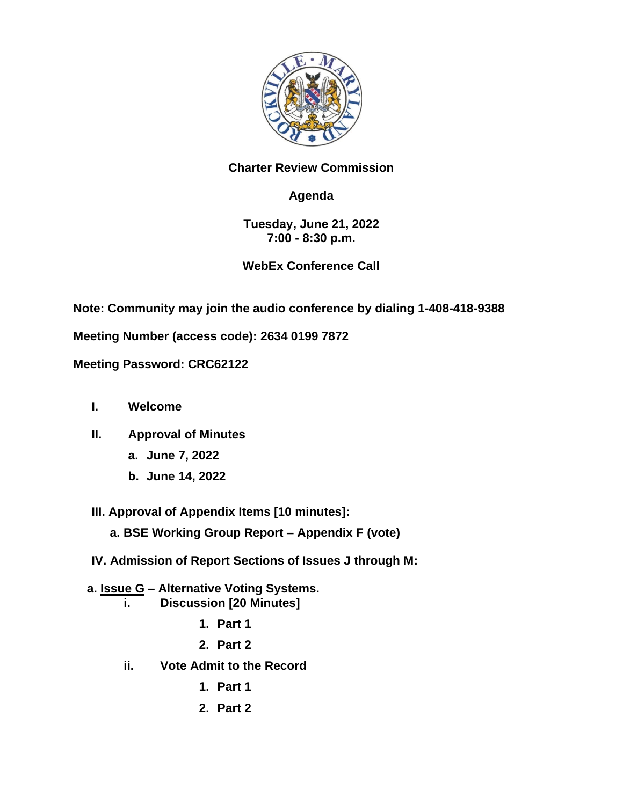

#### **Charter Review Commission**

### **Agenda**

#### **Tuesday, June 21, 2022 7:00 - 8:30 p.m.**

#### **WebEx Conference Call**

**Note: Community may join the audio conference by dialing 1-408-418-9388**

**Meeting Number (access code): 2634 0199 7872**

**Meeting Password: CRC62122**

- **I. Welcome**
- **II. Approval of Minutes** 
	- **a. June 7, 2022**
	- **b. June 14, 2022**

**III. Approval of Appendix Items [10 minutes]:**

**a. BSE Working Group Report – Appendix F (vote)**

**IV. Admission of Report Sections of Issues J through M:**

# **a. Issue G – Alternative Voting Systems.**

- **i. Discussion [20 Minutes]**
	- **1. Part 1**
	- **2. Part 2**
- **ii. Vote Admit to the Record**
	- **1. Part 1**
	- **2. Part 2**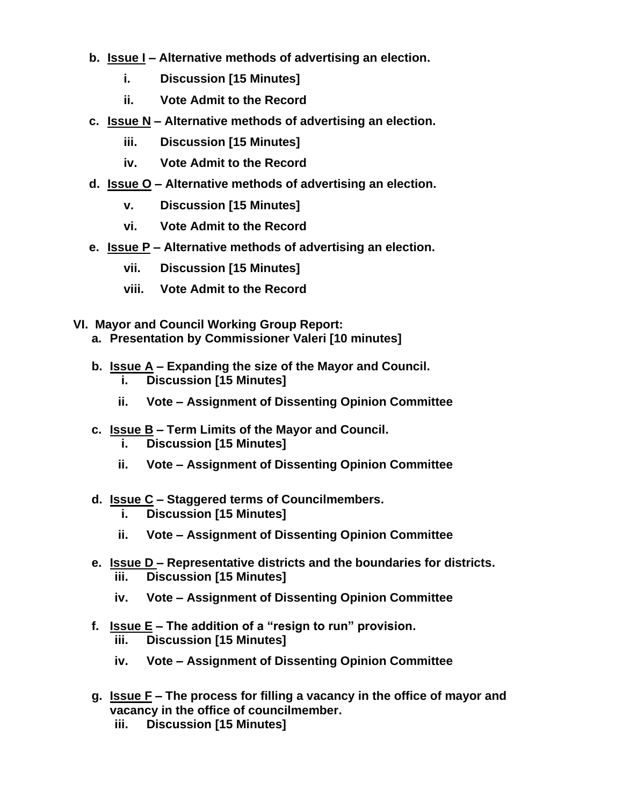- **b. Issue I – Alternative methods of advertising an election.**
	- **i. Discussion [15 Minutes]**
	- **ii. Vote Admit to the Record**
- **c. Issue N – Alternative methods of advertising an election.**
	- **iii. Discussion [15 Minutes]**
	- **iv. Vote Admit to the Record**
- **d. Issue O – Alternative methods of advertising an election.**
	- **v. Discussion [15 Minutes]**
	- **vi. Vote Admit to the Record**
- **e. Issue P – Alternative methods of advertising an election.**
	- **vii. Discussion [15 Minutes]**
	- **viii. Vote Admit to the Record**
- **VI. Mayor and Council Working Group Report:**
	- **a. Presentation by Commissioner Valeri [10 minutes]**
	- **b. Issue A – Expanding the size of the Mayor and Council. i. Discussion [15 Minutes]**
		- **ii. Vote – Assignment of Dissenting Opinion Committee**
	- **c. Issue B – Term Limits of the Mayor and Council.**
		- **i. Discussion [15 Minutes]**
		- **ii. Vote – Assignment of Dissenting Opinion Committee**

## **d. Issue C – Staggered terms of Councilmembers.**

- **i. Discussion [15 Minutes]**
- **ii. Vote – Assignment of Dissenting Opinion Committee**
- **e. Issue D – Representative districts and the boundaries for districts. iii. Discussion [15 Minutes]**
	- **iv. Vote – Assignment of Dissenting Opinion Committee**
- **f. Issue E – The addition of a "resign to run" provision. iii. Discussion [15 Minutes]**
	- **iv. Vote – Assignment of Dissenting Opinion Committee**
- **g. Issue F – The process for filling a vacancy in the office of mayor and vacancy in the office of councilmember.**
	- **iii. Discussion [15 Minutes]**